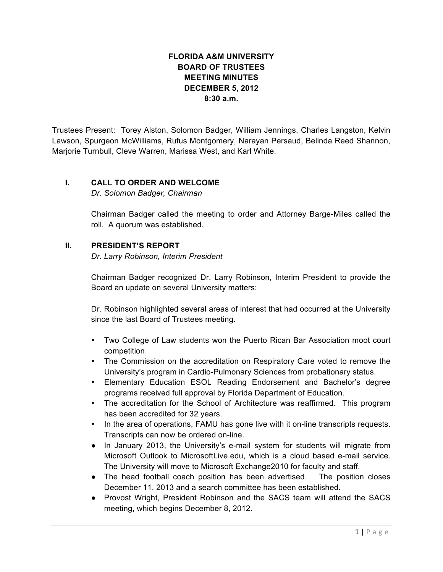# **FLORIDA A&M UNIVERSITY BOARD OF TRUSTEES MEETING MINUTES DECEMBER 5, 2012 8:30 a.m.**

Trustees Present: Torey Alston, Solomon Badger, William Jennings, Charles Langston, Kelvin Lawson, Spurgeon McWilliams, Rufus Montgomery, Narayan Persaud, Belinda Reed Shannon, Marjorie Turnbull, Cleve Warren, Marissa West, and Karl White.

## **I. CALL TO ORDER AND WELCOME**

*Dr. Solomon Badger, Chairman*

Chairman Badger called the meeting to order and Attorney Barge-Miles called the roll. A quorum was established.

## **II. PRESIDENT'S REPORT**

*Dr. Larry Robinson, Interim President*

Chairman Badger recognized Dr. Larry Robinson, Interim President to provide the Board an update on several University matters:

Dr. Robinson highlighted several areas of interest that had occurred at the University since the last Board of Trustees meeting.

- Two College of Law students won the Puerto Rican Bar Association moot court competition
- The Commission on the accreditation on Respiratory Care voted to remove the University's program in Cardio-Pulmonary Sciences from probationary status.
- Elementary Education ESOL Reading Endorsement and Bachelor's degree programs received full approval by Florida Department of Education.
- The accreditation for the School of Architecture was reaffirmed. This program has been accredited for 32 years.
- In the area of operations, FAMU has gone live with it on-line transcripts requests. Transcripts can now be ordered on-line.
- In January 2013, the University's e-mail system for students will migrate from Microsoft Outlook to MicrosoftLive.edu, which is a cloud based e-mail service. The University will move to Microsoft Exchange2010 for faculty and staff.
- The head football coach position has been advertised. The position closes December 11, 2013 and a search committee has been established.
- Provost Wright, President Robinson and the SACS team will attend the SACS meeting, which begins December 8, 2012.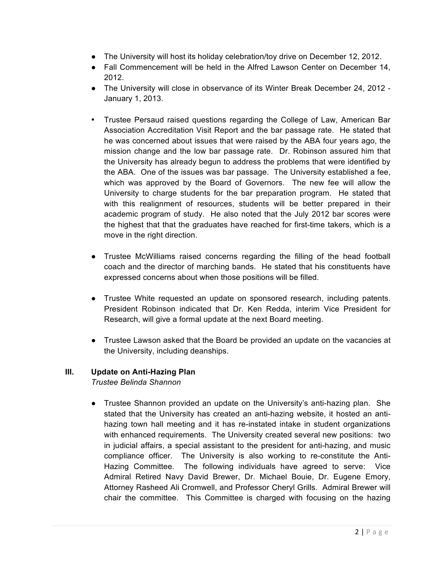- The University will host its holiday celebration/toy drive on December 12, 2012.
- Fall Commencement will be held in the Alfred Lawson Center on December 14, 2012.
- The University will close in observance of its Winter Break December 24, 2012 January 1, 2013.
- Trustee Persaud raised questions regarding the College of Law, American Bar Association Accreditation Visit Report and the bar passage rate. He stated that he was concerned about issues that were raised by the ABA four years ago, the mission change and the low bar passage rate. Dr. Robinson assured him that the University has already begun to address the problems that were identified by the ABA. One of the issues was bar passage. The University established a fee, which was approved by the Board of Governors. The new fee will allow the University to charge students for the bar preparation program. He stated that with this realignment of resources, students will be better prepared in their academic program of study. He also noted that the July 2012 bar scores were the highest that that the graduates have reached for first-time takers, which is a move in the right direction.
- Trustee McWilliams raised concerns regarding the filling of the head football coach and the director of marching bands. He stated that his constituents have expressed concerns about when those positions will be filled.
- Trustee White requested an update on sponsored research, including patents. President Robinson indicated that Dr. Ken Redda, interim Vice President for Research, will give a formal update at the next Board meeting.
- Trustee Lawson asked that the Board be provided an update on the vacancies at the University, including deanships.

# **III. Update on Anti-Hazing Plan**

*Trustee Belinda Shannon*

● Trustee Shannon provided an update on the University's anti-hazing plan. She stated that the University has created an anti-hazing website, it hosted an antihazing town hall meeting and it has re-instated intake in student organizations with enhanced requirements. The University created several new positions: two in judicial affairs, a special assistant to the president for anti-hazing, and music compliance officer. The University is also working to re-constitute the Anti-Hazing Committee. The following individuals have agreed to serve: Vice Admiral Retired Navy David Brewer, Dr. Michael Bouie, Dr. Eugene Emory, Attorney Rasheed Ali Cromwell, and Professor Cheryl Grills. Admiral Brewer will chair the committee. This Committee is charged with focusing on the hazing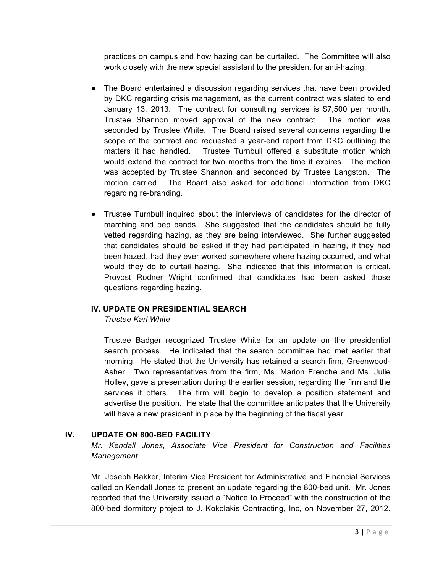practices on campus and how hazing can be curtailed. The Committee will also work closely with the new special assistant to the president for anti-hazing.

- The Board entertained a discussion regarding services that have been provided by DKC regarding crisis management, as the current contract was slated to end January 13, 2013. The contract for consulting services is \$7,500 per month. Trustee Shannon moved approval of the new contract. The motion was seconded by Trustee White. The Board raised several concerns regarding the scope of the contract and requested a year-end report from DKC outlining the matters it had handled. Trustee Turnbull offered a substitute motion which would extend the contract for two months from the time it expires. The motion was accepted by Trustee Shannon and seconded by Trustee Langston. The motion carried. The Board also asked for additional information from DKC regarding re-branding.
- Trustee Turnbull inquired about the interviews of candidates for the director of marching and pep bands. She suggested that the candidates should be fully vetted regarding hazing, as they are being interviewed. She further suggested that candidates should be asked if they had participated in hazing, if they had been hazed, had they ever worked somewhere where hazing occurred, and what would they do to curtail hazing. She indicated that this information is critical. Provost Rodner Wright confirmed that candidates had been asked those questions regarding hazing.

### **IV. UPDATE ON PRESIDENTIAL SEARCH**

*Trustee Karl White*

Trustee Badger recognized Trustee White for an update on the presidential search process. He indicated that the search committee had met earlier that morning. He stated that the University has retained a search firm, Greenwood-Asher. Two representatives from the firm, Ms. Marion Frenche and Ms. Julie Holley, gave a presentation during the earlier session, regarding the firm and the services it offers. The firm will begin to develop a position statement and advertise the position. He state that the committee anticipates that the University will have a new president in place by the beginning of the fiscal year.

# **IV. UPDATE ON 800-BED FACILITY**

*Mr. Kendall Jones, Associate Vice President for Construction and Facilities Management*

Mr. Joseph Bakker, Interim Vice President for Administrative and Financial Services called on Kendall Jones to present an update regarding the 800-bed unit. Mr. Jones reported that the University issued a "Notice to Proceed" with the construction of the 800-bed dormitory project to J. Kokolakis Contracting, Inc, on November 27, 2012.